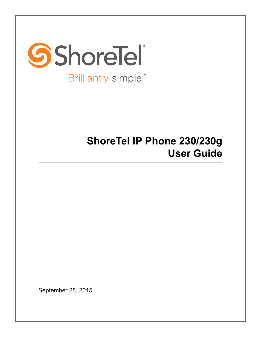

# **ShoreTel IP Phone 230/230g User Guide**

September 28, 2015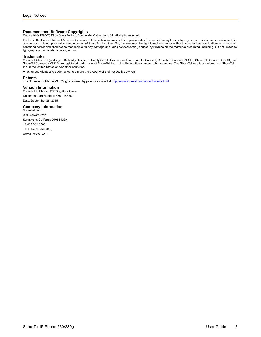**Document and Software Copyrights**<br>Copyright © 1998-2015 by ShoreTel Inc., Sunnyvale, California, USA. All rights reserved.

Printed in the United States of America. Contents of this publication may not be reproduced or transmitted in any form or by any means, electronic or mechanical, for any purpose, without prior written authorization of ShoreTel, Inc. ShoreTel, Inc. reserves the right to make changes without notice to the specifications and materials contained herein and shall not be responsible for any damage (including consequential) caused by reliance on the materials presented, including, but not limited to typographical, arithmetic or listing errors.

#### **Trademarks**

ShoreTel, ShoreTel (and logo), Brilliantly Simple, Brilliantly Simple Communication, ShoreTel Connect, ShoreTel Connect ONSITE, ShoreTel Connect CLOUD, and ShoreTel Connect HYBRID are registered trademarks of ShoreTel, Inc. in the United States and/or other countries. The ShoreTel logo is a trademark of ShoreTel, Inc. in the United States and/or other countries.

All other copyrights and trademarks herein are the property of their respective owners.

#### **Patents**

The ShoreTel IP Phone 230/230g is covered by patents as listed at [http://www.shoretel.com/about/patents.html.](http://www.shoretel.com/about/patents.html)

#### **Version Information**

ShoreTel IP Phone 230/230g User Guide Document Part Number: 850-1158-03 Date: September 28, 2015

#### **Company Information**<br>ShoreTel, Inc.

960 Stewart Drive Sunnyvale, California 94085 USA +1.408.331.3300 +1.408.331.3333 (fax) www.shoretel.com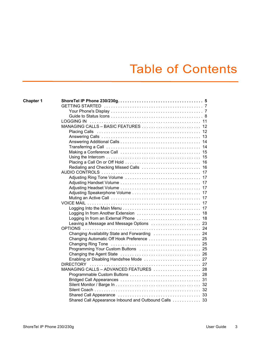# Table of Contents

| <b>LOGGING IN</b>                                    |
|------------------------------------------------------|
|                                                      |
|                                                      |
|                                                      |
|                                                      |
|                                                      |
|                                                      |
|                                                      |
|                                                      |
|                                                      |
|                                                      |
|                                                      |
|                                                      |
|                                                      |
|                                                      |
|                                                      |
|                                                      |
|                                                      |
|                                                      |
|                                                      |
|                                                      |
|                                                      |
| Changing Availability State and Forwarding  24       |
|                                                      |
|                                                      |
| Programming Your Custom Buttons  25                  |
|                                                      |
|                                                      |
|                                                      |
| MANAGING CALLS - ADVANCED FEATURES  28               |
|                                                      |
|                                                      |
|                                                      |
|                                                      |
|                                                      |
| Shared Call Appearance Inbound and Outbound Calls 33 |
|                                                      |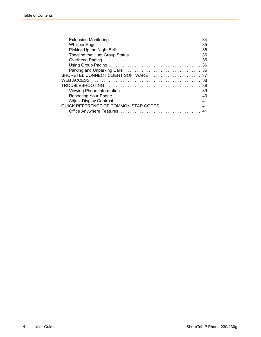| SHORETEL CONNECT CLIENT SOFTWARE  37     |  |
|------------------------------------------|--|
|                                          |  |
|                                          |  |
|                                          |  |
|                                          |  |
|                                          |  |
| QUICK REFERENCE OF COMMON STAR CODES  41 |  |
|                                          |  |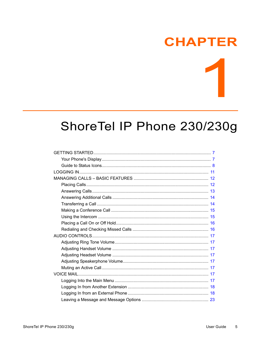# **CHAPTER**

# <span id="page-4-0"></span>ShoreTel IP Phone 230/230g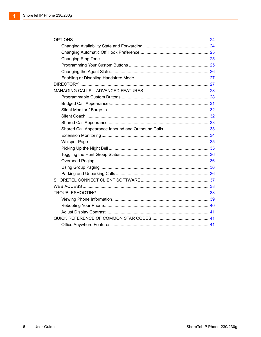$\blacktriangleleft$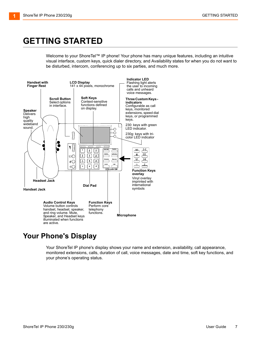# <span id="page-6-0"></span>**GETTING STARTED**

Welcome to your ShoreTel™ IP phone! Your phone has many unique features, including an intuitive visual interface, custom keys, quick dialer directory, and Availability states for when you do not want to be disturbed, intercom, conferencing up to six parties, and much more.



### <span id="page-6-1"></span>**Your Phone's Display**

Your ShoreTel IP phone's display shows your name and extension, availability, call appearance, monitored extensions, calls, duration of call, voice messages, date and time, soft key functions, and your phone's operating status.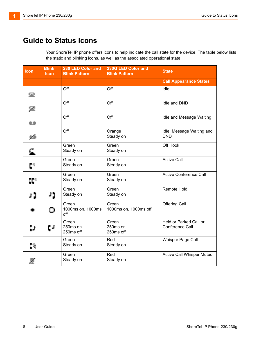## <span id="page-7-0"></span>**Guide to Status Icons**

Your ShoreTel IP phone offers icons to help indicate the call state for the device. The table below lists the static and blinking icons, as well as the associated operational state.

| Icon               | <b>Blink</b><br><b>Icon</b> | 230 LED Color and<br><b>Blink Pattern</b> | 230G LED Color and<br><b>Blink Pattern</b> | <b>State</b>                              |
|--------------------|-----------------------------|-------------------------------------------|--------------------------------------------|-------------------------------------------|
|                    |                             |                                           |                                            | <b>Call Appearance States</b>             |
| 雲                  |                             | Off                                       | Off                                        | Idle                                      |
| 髦                  |                             | Off                                       | Off                                        | Idle and DND                              |
| œ                  |                             | Off                                       | Off                                        | Idle and Message Waiting                  |
| $\theta_{\rm eff}$ |                             | Off                                       | Orange<br>Steady on                        | Idle, Message Waiting and<br><b>DND</b>   |
| £.                 |                             | Green<br>Steady on                        | Green<br>Steady on                         | Off Hook                                  |
| $\mathfrak{c}^4$   |                             | Green<br>Steady on                        | Green<br>Steady on                         | <b>Active Call</b>                        |
| œ                  |                             | Green<br>Steady on                        | Green<br>Steady on                         | <b>Active Conference Call</b>             |
| נ ג                | ני                          | Green<br>Steady on                        | Green<br>Steady on                         | <b>Remote Hold</b>                        |
|                    | о                           | Green<br>1000ms on, 1000ms<br>off         | Green<br>1000ms on, 1000ms off             | Offering Call                             |
| ËJ.                | ţJ.                         | Green<br>250ms on<br>250ms off            | Green<br>250ms on<br>250ms off             | Held or Parked Call or<br>Conference Call |
| Ç۹,                |                             | Green<br>Steady on                        | Red<br>Steady on                           | Whisper Page Call                         |
|                    |                             | Green<br>Steady on                        | Red<br>Steady on                           | Active Call Whisper Muted                 |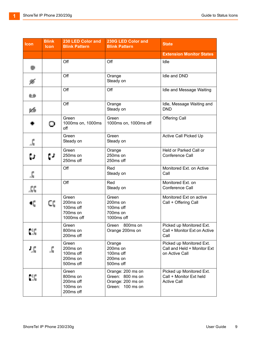| <b>Icon</b>                 | <b>Blink</b><br><b>Icon</b> | 230 LED Color and<br><b>Blink Pattern</b>                | 230G LED Color and<br><b>Blink Pattern</b>                                     | <b>State</b>                                                              |
|-----------------------------|-----------------------------|----------------------------------------------------------|--------------------------------------------------------------------------------|---------------------------------------------------------------------------|
|                             |                             |                                                          |                                                                                | <b>Extension Monitor States</b>                                           |
|                             |                             | Off                                                      | Off                                                                            | Idle                                                                      |
| $\mathcal{R}_{\mathcal{P}}$ |                             | Off                                                      | Orange<br>Steady on                                                            | Idle and DND                                                              |
| œ                           |                             | Off                                                      | Off                                                                            | Idle and Message Waiting                                                  |
| 电金                          |                             | Off                                                      | Orange<br>Steady on                                                            | Idle, Message Waiting and<br><b>DND</b>                                   |
|                             | ο                           | Green<br>1000ms on, 1000ms<br>off                        | Green<br>1000ms on, 1000ms off                                                 | <b>Offering Call</b>                                                      |
|                             |                             | Green<br>Steady on                                       | Green<br>Steady on                                                             | Active Call Picked Up                                                     |
| ţJ.                         | ţJ.                         | Green<br>250ms on<br>250ms off                           | Orange<br>250ms on<br>250ms off                                                | Held or Parked Call or<br>Conference Call                                 |
| 虛                           |                             | Off                                                      | Red<br>Steady on                                                               | Monitored Ext. on Active<br>Call                                          |
| ЛÇ                          |                             | Off                                                      | Red<br>Steady on                                                               | Monitored Ext. on<br>Conference Call                                      |
| ٩Ę                          | Œ                           | Green<br>200ms on<br>100ms off<br>700ms on<br>1000ms off | Green<br>200ms on<br>100ms off<br>700ms on<br>1000ms off                       | Monitored Ext on active<br>Call + Offering Call                           |
| C.                          |                             | Green<br>800ms on<br>200ms off                           | 800ms on<br>Green<br>Orange 200ms on                                           | Picked up Monitored Ext.<br>Call + Monitor Ext on Active<br>Call          |
| 想                           |                             | Green<br>200ms on<br>100ms off<br>200ms on<br>500ms off  | Orange<br>200ms on<br>100ms off<br>200ms on<br>500ms off                       | Picked up Monitored Ext.<br>Call and Held + Monitor Ext<br>on Active Call |
| CC.                         |                             | Green<br>800ms on<br>200ms off<br>100ms on<br>200ms off  | Orange: 200 ms on<br>Green: 800 ms on<br>Orange: 200 ms on<br>Green: 100 ms on | Picked up Monitored Ext.<br>Call + Monitor Ext held<br><b>Active Call</b> |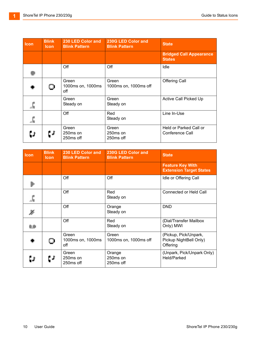| Icon | <b>Blink</b><br><b>Icon</b> | 230 LED Color and<br><b>Blink Pattern</b>  | 230G LED Color and<br><b>Blink Pattern</b> | <b>State</b>                                    |
|------|-----------------------------|--------------------------------------------|--------------------------------------------|-------------------------------------------------|
|      |                             |                                            |                                            | <b>Bridged Call Appearance</b><br><b>States</b> |
|      |                             | Off                                        | Off                                        | Idle                                            |
|      | $\mathbf Q$                 | Green<br>1000ms on, 1000ms<br>off          | Green<br>1000ms on, 1000ms off             | <b>Offering Call</b>                            |
| 虛    |                             | Green<br>Steady on                         | Green<br>Steady on                         | Active Call Picked Up                           |
| 歵    |                             | Off                                        | Red<br>Steady on                           | Line In-Use                                     |
| ĽJ.  | t J                         | Green<br>250 <sub>ms</sub> on<br>250ms off | Green<br>250ms on<br>250ms off             | Held or Parked Call or<br>Conference Call       |

| <b>Icon</b> | <b>Blink</b><br><b>Icon</b> | 230 LED Color and<br><b>Blink Pattern</b> | 230G LED Color and<br><b>Blink Pattern</b> | <b>State</b>                                                |
|-------------|-----------------------------|-------------------------------------------|--------------------------------------------|-------------------------------------------------------------|
|             |                             |                                           |                                            | <b>Feature Key With</b><br><b>Extension Target States</b>   |
|             |                             | Off                                       | Off                                        | Idle or Offering Call                                       |
|             |                             | Off                                       | Red<br>Steady on                           | Connected or Held Call                                      |
| Jy.         |                             | Off                                       | Orange<br>Steady on                        | <b>DND</b>                                                  |
| C C         |                             | Off                                       | Red<br>Steady on                           | (Dial/Transfer Mailbox<br>Only) MWI                         |
|             | O                           | Green<br>1000ms on, 1000ms<br>off         | Green<br>1000ms on, 1000ms off             | (Pickup, Pick/Unpark,<br>Pickup NightBell Only)<br>Offering |
| Çι          | ĽJ.                         | Green<br>250ms on<br>250ms off            | Orange<br>250ms on<br>250ms off            | (Unpark, Pick/Unpark Only)<br>Held/Parked                   |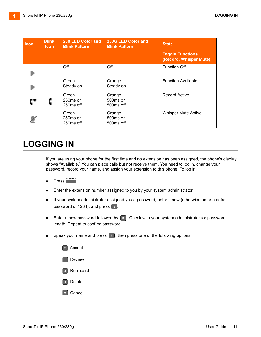| Icon | <b>Blink</b><br><b>Icon</b> | 230 LED Color and<br><b>Blink Pattern</b>              | 230G LED Color and<br><b>Blink Pattern</b> | <b>State</b>                                      |
|------|-----------------------------|--------------------------------------------------------|--------------------------------------------|---------------------------------------------------|
|      |                             |                                                        |                                            | <b>Toggle Functions</b><br>(Record, Whisper Mute) |
|      |                             | Off                                                    | Off                                        | <b>Function Off</b>                               |
|      |                             | Green<br>Steady on                                     | Orange<br>Steady on                        | <b>Function Available</b>                         |
| ť*   | ¢                           | Green<br>250 <sub>ms</sub> on<br>250ms off             | Orange<br>500ms on<br>500ms off            | <b>Record Active</b>                              |
| 壓    |                             | Green<br>250 <sub>ms</sub> on<br>250 <sub>ms</sub> off | Orange<br>500ms on<br>500ms off            | <b>Whisper Mute Active</b>                        |

# <span id="page-10-0"></span>**LOGGING IN**

If you are using your phone for the first time and no extension has been assigned, the phone's display shows "Available." You can place calls but not receive them. You need to log in, change your password, record your name, and assign your extension to this phone. To log in:

- Press **<u>Woice Mai I</u></u>.**
- **Enter the extension number assigned to you by your system administrator.**
- If your system administrator assigned you a password, enter it now (otherwise enter a default password of 1234), and press  $*$ .
- **Enter a new password followed by**  $\left[ \begin{array}{c} \ast \\ \ast \end{array} \right]$ **. Check with your system administrator for password** length. Repeat to confirm password.
- **Speak your name and press**  $\left| \cdot \right|$ , then press one of the following options:

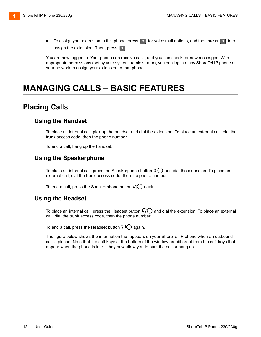$\blacksquare$  To assign your extension to this phone, press  $\lceil r \rceil$  for voice mail options, and then press  $\lceil s \rceil$  to reassign the extension. Then, press  $\boxed{\bullet}$ .

You are now logged in. Your phone can receive calls, and you can check for new messages. With appropriate permissions (set by your system administrator), you can log into any ShoreTel IP phone on your network to assign your extension to that phone.

# <span id="page-11-0"></span>**MANAGING CALLS – BASIC FEATURES**

### <span id="page-11-1"></span>**Placing Calls**

#### **Using the Handset**

To place an internal call, pick up the handset and dial the extension. To place an external call, dial the trunk access code, then the phone number.

To end a call, hang up the handset.

#### **Using the Speakerphone**

To place an internal call, press the Speakerphone button  $\mathbb{q} \bigcirc$  and dial the extension. To place an external call, dial the trunk access code, then the phone number.

To end a call, press the Speakerphone button  $\mathbb{q} \bigcirc$  again.

#### **Using the Headset**

To place an internal call, press the Headset button  $\bigcap$  and dial the extension. To place an external call, dial the trunk access code, then the phone number.

To end a call, press the Headset button  $\bigcap$  again.

The figure below shows the information that appears on your ShoreTel IP phone when an outbound call is placed. Note that the soft keys at the bottom of the window are different from the soft keys that appear when the phone is idle – they now allow you to park the call or hang up.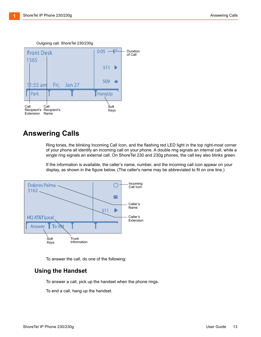

#### Outgoing call: ShoreTel 230/230g

#### <span id="page-12-0"></span>**Answering Calls**

Ring tones, the blinking Incoming Call Icon, and the flashing red LED light in the top right-most corner of your phone all identify an incoming call on your phone. A double ring signals an internal call, while a single ring signals an external call. On ShoreTel 230 and 230g phones, the call key also blinks green.

If the information is available, the caller's name, number, and the incoming call icon appear on your display, as shown in the figure below. (The caller's name may be abbreviated to fit on one line.)



To answer the call, do one of the following:

#### **Using the Handset**

To answer a call, pick up the handset when the phone rings.

To end a call, hang up the handset.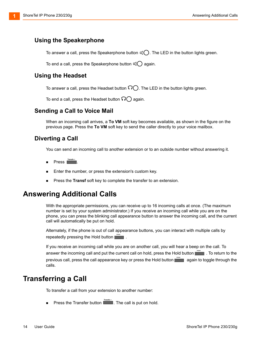#### **Using the Speakerphone**

To answer a call, press the Speakerphone button  $\mathbb{q}(\bigcirc)$ . The LED in the button lights green.

To end a call, press the Speakerphone button  $\mathbb{q}(\ )$  again.

#### **Using the Headset**

To answer a call, press the Headset button  $\mathfrak{D}$ . The LED in the button lights green.

To end a call, press the Headset button  $\Omega$  again.

#### **Sending a Call to Voice Mail**

When an incoming call arrives, a **To VM** soft key becomes available, as shown in the figure on the previous page. Press the **To VM** soft key to send the caller directly to your voice mailbox.

#### <span id="page-13-2"></span>**Diverting a Call**

You can send an incoming call to another extension or to an outside number without answering it.

- Press **Transfe r**
- Enter the number, or press the extension's custom key.
- Press the **Transf** soft key to complete the transfer to an extension.

#### <span id="page-13-0"></span>**Answering Additional Calls**

With the appropriate permissions, you can receive up to 16 incoming calls at once. (The maximum number is set by your system administrator.) If you receive an incoming call while you are on the phone, you can press the blinking call appearance button to answer the incoming call, and the current call will automatically be put on hold.

Alternately, if the phone is out of call appearance buttons, you can interact with multiple calls by **Fepeatedly pressing the Hold button**  $\Box$ 

If you receive an incoming call while you are on another call, you will hear a beep on the call. To answer the incoming call and put the current call on hold, press the Hold button **...........** To return to the previous call, press the call appearance key or press the Hold button **Figure 10** again to toggle through the calls.

#### <span id="page-13-1"></span>**Transferring a Call**

To transfer a call from your extension to another number:

■ Press the Transfer button **Exercise Figure 2**. The call is put on hold.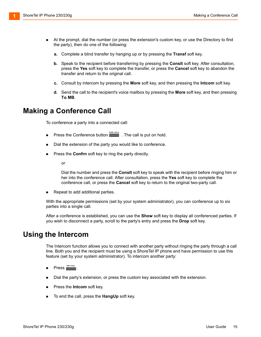- At the prompt, dial the number (or press the extension's custom key, or use the Directory to find the party), then do one of the following:
	- **a.** Complete a blind transfer by hanging up or by pressing the **Transf** soft key.
	- **b.** Speak to the recipient before transferring by pressing the **Conslt** soft key. After consultation, press the **Yes** soft key to complete the transfer, or press the **Cancel** soft key to abandon the transfer and return to the original call.
	- **c.** Consult by intercom by pressing the **More** soft key, and then pressing the **Intcom** soft key.
	- **d.** Send the call to the recipient's voice mailbox by pressing the **More** soft key, and then pressing **To MB**.

#### <span id="page-14-0"></span>**Making a Conference Call**

To conference a party into a connected call:

- **Press the Conference button** . The call is put on hold. **Confe renc e**
- Dial the extension of the party you would like to conference.
- Press the **Confrn** soft key to ring the party directly.

*or*

Dial the number and press the **Conslt** soft key to speak with the recipient before ringing him or her into the conference call. After consultation, press the **Yes** soft key to complete the conference call, or press the **Cancel** soft key to return to the original two-party call.

Repeat to add additional parties.

With the appropriate permissions (set by your system administrator), you can conference up to six parties into a single call.

After a conference is established, you can use the **Show** soft key to display all conferenced parties. If you wish to disconnect a party, scroll to the party's entry and press the **Drop** soft key.

#### <span id="page-14-1"></span>**Using the Intercom**

The Intercom function allows you to connect with another party without ringing the party through a call line. Both you and the recipient must be using a ShoreTel IP phone and have permission to use this feature (set by your system administrator). To intercom another party:

- Press **<u>Inte rcom</u>**.
- Dial the party's extension, or press the custom key associated with the extension.
- **Press the Intcom soft key.**
- To end the call, press the **HangUp** soft key.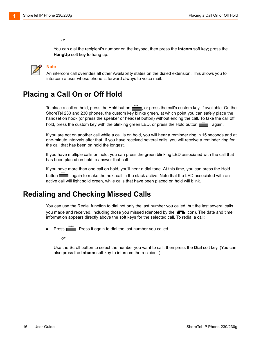#### *or*

You can dial the recipient's number on the keypad, then press the **Intcom** soft key; press the **HangUp** soft key to hang up.



#### **Note**

An intercom call overrides all other Availability states on the dialed extension. This allows you to intercom a user whose phone is forward always to voice mail.

### <span id="page-15-0"></span>**Placing a Call On or Off Hold**

To place a call on hold, press the Hold button **net call**, or press the call's custom key, if available. On the ShoreTel 230 and 230 phones, the custom key blinks green, at which point you can safely place the handset on hook (or press the speaker or headset button) without ending the call. To take the call off hold, press the custom key with the blinking green LED, or press the Hold button **Fight** again.

If you are not on another call while a call is on hold, you will hear a reminder ring in 15 seconds and at one-minute intervals after that. If you have received several calls, you will receive a reminder ring for the call that has been on hold the longest.

If you have multiple calls on hold, you can press the green blinking LED associated with the call that has been placed on hold to answer that call.

If you have more than one call on hold, you'll hear a dial tone. At this time, you can press the Hold button **Figure 1** again to make the next call in the stack active. Note that the LED associated with an active call will light solid green, while calls that have been placed on hold will blink.

### <span id="page-15-1"></span>**Redialing and Checking Missed Calls**

You can use the Redial function to dial not only the last number you called, but the last several calls you made and received, including those you missed (denoted by the **interally in the date and time** information appears directly above the soft keys for the selected call. To redial a call:

**Press <b>Redial** Press it again to dial the last number you called.

*or*

Use the Scroll button to select the number you want to call, then press the **Dial** soft key. (You can also press the **Intcom** soft key to intercom the recipient.)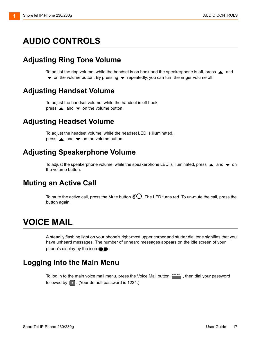# <span id="page-16-0"></span>**AUDIO CONTROLS**

### <span id="page-16-1"></span>**Adjusting Ring Tone Volume**

To adjust the ring volume, while the handset is on hook and the speakerphone is off, press  $\triangle$  and  $\blacktriangledown$  on the volume button. By pressing  $\blacktriangledown$  repeatedly, you can turn the ringer volume off.

#### <span id="page-16-2"></span>**Adjusting Handset Volume**

To adjust the handset volume, while the handset is off hook, press  $\triangle$  and  $\blacktriangledown$  on the volume button.

#### <span id="page-16-3"></span>**Adjusting Headset Volume**

To adjust the headset volume, while the headset LED is illuminated, press  $\triangle$  and  $\blacktriangledown$  on the volume button.

#### <span id="page-16-4"></span>**Adjusting Speakerphone Volume**

To adjust the speakerphone volume, while the speakerphone LED is illuminated, press  $\triangle$  and  $\blacktriangledown$  on the volume button.

#### <span id="page-16-5"></span>**Muting an Active Call**

To mute the active call, press the Mute button  $\mathcal{Q}$ . The LED turns red. To un-mute the call, press the button again.

# <span id="page-16-6"></span>**VOICE MAIL**

A steadily flashing light on your phone's right-most upper corner and stutter dial tone signifies that you have unheard messages. The number of unheard messages appears on the idle screen of your phone's display by the icon  $\blacksquare$ .

#### <span id="page-16-7"></span>**Logging Into the Main Menu**

To log in to the main voice mail menu, press the Voice Mail button **Torce Mail**, then dial your password followed by  $\left[\begin{array}{c} \ast \\ \end{array}\right]$ . (Your default password is 1234.)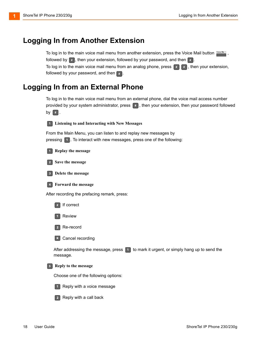### <span id="page-17-0"></span>**Logging In from Another Extension**

To log in to the main voice mail menu from another extension, press the Voice Mail button  $\frac{1\text{times }\text{Mink}}{2}$ , followed by  $\left| \frac{1}{x} \right|$ , then your extension, followed by your password, and then  $\left| \frac{1}{x} \right|$ To log in to the main voice mail menu from an analog phone, press  $\left\{ \begin{array}{c} \text{#} \\ \text{#} \end{array} \right\}$ , then your extension, followed by your password, and then  $\left[\begin{matrix} \frac{1}{2} \end{matrix}\right]$ .

#### <span id="page-17-1"></span>**Logging In from an External Phone**

To log in to the main voice mail menu from an external phone, dial the voice mail access number provided by your system administrator, press  $\Box$ , then your extension, then your password followed by  $\left[\begin{array}{c} \pm \end{array}\right]$ .

<span id="page-17-2"></span>

**Listening to and Interacting with New Messages**

From the Main Menu, you can listen to and replay new messages by pressing  $\Box$ . To interact with new messages, press one of the following:



**Replay the message**





**Delete the message**

**Forward the message**

After recording the prefacing remark, press:







**\*** Cancel recording

After addressing the message, press  $\begin{bmatrix} 1 \end{bmatrix}$  to mark it urgent, or simply hang up to send the message.

#### **Reply to the message**

Choose one of the following options:



 $\boxed{1}$  Reply with a voice message



 $\left[ \begin{array}{\mathrm{2}} \end{array} \right]$  Reply with a call back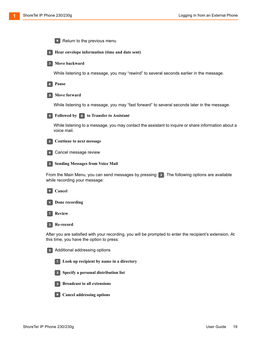|                | Return to the previous menu<br>$\star$                                                                                                               |
|----------------|------------------------------------------------------------------------------------------------------------------------------------------------------|
| 6 <sup>1</sup> | Hear envelope information (time and date sent)                                                                                                       |
|                | Move backward                                                                                                                                        |
|                | While listening to a message, you may "rewind" to several seconds earlier in the message.                                                            |
| $\mathbf{8}$   | Pause                                                                                                                                                |
|                | Move forward                                                                                                                                         |
|                | While listening to a message, you may "fast forward" to several seconds later in the message.                                                        |
| $\bullet$      | Followed by <b>0</b> to Transfer to Assistant                                                                                                        |
|                | While listening to a message, you may contact the assistant to inquire or share information about a<br>voice mail.                                   |
| #              | Continue to next message                                                                                                                             |
|                | Cancel message review                                                                                                                                |
|                | <b>Sending Messages from Voice Mail</b>                                                                                                              |
|                | From the Main Menu, you can send messages by pressing [2]. The following options are available<br>while recording your message:                      |
| $\star$        | Cancel                                                                                                                                               |
|                | Done recording                                                                                                                                       |
|                | <b>Review</b>                                                                                                                                        |
| $\boxed{2}$    | Re-record                                                                                                                                            |
|                | After you are satisfied with your recording, you will be prompted to enter the recipient's extension. At<br>this time, you have the option to press: |
| $\bullet$      | Additional addressing options                                                                                                                        |
|                | Look up recipient by name in a directory                                                                                                             |
|                | Specify a personal distribution list<br>$\mathbf{2}$                                                                                                 |
|                | <b>Broadcast to all extensions</b><br>3 <sup>1</sup>                                                                                                 |

**Cancel addressing options**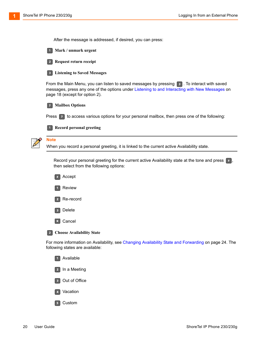After the message is addressed, if desired, you can press:





**Request return receipt**

**Record personal greeting** 

**Listening to Saved Messages**

From the Main Menu, you can listen to saved messages by pressing  $\boxed{3}$ . To interact with saved messages, press any one of the options under [Listening to and Interacting with New Messages on](#page-17-2)  [page 18](#page-17-2) (except for option 2).



Press  $\boxed{7}$  to access various options for your personal mailbox, then press one of the following:



#### **Note**

When you record a personal greeting, it is linked to the current active Availability state.

Record your personal greeting for the current active Availability state at the tone and press  $\lceil \cdot \rceil$ then select from the following options:



For more information on Availability, see [Changing Availability State and Forwarding on page 24](#page-23-1). The following states are available:

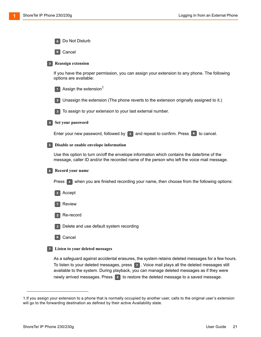| Do Not Disturb                                                                                                                                                                            |
|-------------------------------------------------------------------------------------------------------------------------------------------------------------------------------------------|
| Cancel<br>$\star$                                                                                                                                                                         |
| <b>Reassign extension</b>                                                                                                                                                                 |
| If you have the proper permission, you can assign your extension to any phone. The following<br>options are available:                                                                    |
| Assign the extension <sup>1</sup>                                                                                                                                                         |
| Unassign the extension (The phone reverts to the extension originally assigned to it.)                                                                                                    |
| To assign to your extension to your last external number.<br>3 <sup>1</sup>                                                                                                               |
| Set your password                                                                                                                                                                         |
| Enter your new password, followed by $\left  * \right $ and repeat to confirm. Press $\left  * \right $ to cancel.                                                                        |
| Disable or enable envelope information                                                                                                                                                    |
| Use this option to turn on/off the envelope information which contains the date/time of the<br>message, caller ID and/or the recorded name of the person who left the voice mail message. |
| Record your name                                                                                                                                                                          |
| Press $\left  \cdot \right $ when you are finished recording your name, then choose from the following options:                                                                           |
| Accept                                                                                                                                                                                    |
| Review                                                                                                                                                                                    |
| Re-record                                                                                                                                                                                 |
| Delete and use default system recording                                                                                                                                                   |
| Cancel                                                                                                                                                                                    |
| Listen to your deleted messages                                                                                                                                                           |
| As a safeguard against accidental erasures, the system retains deleted messages for a few hours.                                                                                          |

To listen to your deleted messages, press  $\Box$ . Voice mail plays all the deleted messages still available to the system. During playback, you can manage deleted messages as if they were newly arrived messages. Press  $\boxed{2}$  to restore the deleted message to a saved message.

<sup>1.</sup>If you assign your extension to a phone that is normally occupied by another user, calls to the original user's extension will go to the forwarding destination as defined by their active Availability state.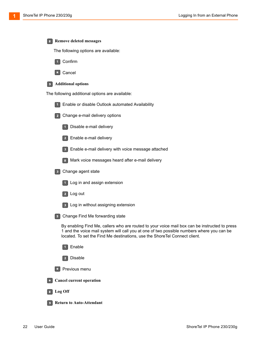| 8              | <b>Remove deleted messages</b>                                                                                                                                                                                                                                           |
|----------------|--------------------------------------------------------------------------------------------------------------------------------------------------------------------------------------------------------------------------------------------------------------------------|
|                | The following options are available:                                                                                                                                                                                                                                     |
|                | Confirm<br>$\sqrt{1}$                                                                                                                                                                                                                                                    |
|                | Cancel<br>$\star$                                                                                                                                                                                                                                                        |
| 9 <sub>1</sub> | <b>Additional options</b>                                                                                                                                                                                                                                                |
|                | The following additional options are available:                                                                                                                                                                                                                          |
|                | Enable or disable Outlook automated Availability                                                                                                                                                                                                                         |
|                | Change e-mail delivery options                                                                                                                                                                                                                                           |
|                | Disable e-mail delivery                                                                                                                                                                                                                                                  |
|                | Enable e-mail delivery<br>$\overline{2}$                                                                                                                                                                                                                                 |
|                | Enable e-mail delivery with voice message attached<br>3 <sup>1</sup>                                                                                                                                                                                                     |
|                | Mark voice messages heard after e-mail delivery<br>8 <sup>1</sup>                                                                                                                                                                                                        |
|                | Change agent state<br>3 <sup>°</sup>                                                                                                                                                                                                                                     |
|                | Log in and assign extension                                                                                                                                                                                                                                              |
|                | Log out<br>$\vert$ 2                                                                                                                                                                                                                                                     |
|                | Log in without assigning extension<br>3 <sup>1</sup>                                                                                                                                                                                                                     |
|                | Change Find Me forwarding state                                                                                                                                                                                                                                          |
|                | By enabling Find Me, callers who are routed to your voice mail box can be instructed to press<br>1 and the voice mail system will call you at one of two possible numbers where you can be<br>located. To set the Find Me destinations, use the ShoreTel Connect client. |
|                | Enable<br>$\vert$ 1                                                                                                                                                                                                                                                      |
|                | Disable<br>$\overline{2}$                                                                                                                                                                                                                                                |
|                | Previous menu                                                                                                                                                                                                                                                            |
| $\star$        | <b>Cancel current operation</b>                                                                                                                                                                                                                                          |
| 8              | Log Off                                                                                                                                                                                                                                                                  |
|                | <b>Return to Auto-Attendant</b>                                                                                                                                                                                                                                          |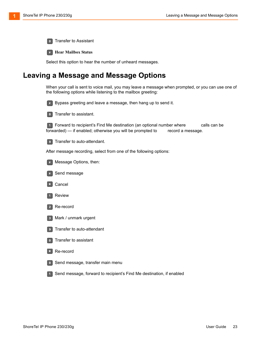**0** Transfer to Assistant

**Hear Mailbox Status**

Select this option to hear the number of unheard messages.

#### <span id="page-22-0"></span>**Leaving a Message and Message Options**

When your call is sent to voice mail, you may leave a message when prompted, or you can use one of the following options while listening to the mailbox greeting:



**EXECUTE:** Bypass greeting and leave a message, then hang up to send it.



**0** Transfer to assistant.

 Forward to recipient's Find Me destination (an optional number where calls can be forwarded) — if enabled; otherwise you will be prompted to record a message.

**9** Transfer to auto-attendant.

After message recording, select from one of the following options:



Message Options, then:



**\*** Cancel





**B** Mark / unmark urgent





#### $\| * \|$  Re-record

**O** Send message, transfer main menu

**1** Send message, forward to recipient's Find Me destination, if enabled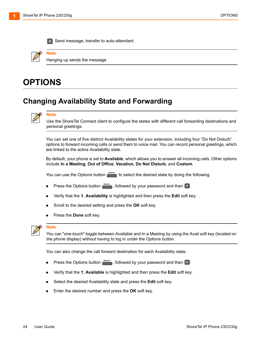

**Send message, transfer to auto-attendant.** 

Hanging up sends the message

# <span id="page-23-0"></span>**OPTIONS**

**Note**

### <span id="page-23-1"></span>**Changing Availability State and Forwarding**

|--|

**Note**

Use the ShoreTel Connect client to configure the states with different call forwarding destinations and personal greetings.

You can set one of five distinct Availability states for your extension, including four "Do Not Disturb" options to forward incoming calls or send them to voice mail. You can record personal greetings, which are linked to the active Availability state.

By default, your phone is set to **Available**, which allows you to answer all incoming calls. Other options include **In a Meeting**, **Out of Office**, **Vacation, Do Not Disturb**, and **Custom**.

You can use the Options button **netable to select the desired state by doing the following:** 

- **Press the Options button**  $\frac{opitons}{\cdot}$ **, followed by your password and then**  $\frac{p}{\cdot}$ **.**
- Verify that the **1. Availability** is highlighted and then press the **Edit** soft key.
- Scroll to the desired setting and press the **OK** soft key.
- **Press the Done soft key.**



#### **Note**

You can "one-touch" toggle between Available and In a Meeting by using the Avail soft key (located on the phone display) without having to log in under the Options button.

You can also change the call forward destination for each Availability state.

- **Press the Options button**  $\frac{opitons}{\cdot}$ **, followed by your password and then**  $\frac{p}{\cdot}$ **.**
- Verify that the **1. Available** is highlighted and then press the **Edit** soft key.
- Select the desired Availability state and press the **Edit** soft key.
- **Enter the desired number and press the OK soft key.**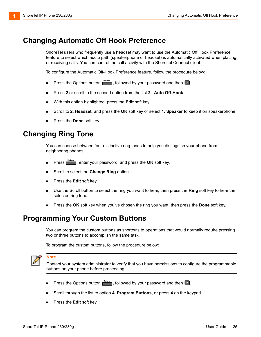### <span id="page-24-0"></span>**Changing Automatic Off Hook Preference**

ShoreTel users who frequently use a headset may want to use the Automatic Off Hook Preference feature to select which audio path (speakerphone or headset) is automatically activated when placing or receiving calls. You can control the call activity with the ShoreTel Connect client.

To configure the Automatic Off-Hook Preference feature, follow the procedure below:

- **Press the Options button <b>Purions**, followed by your password and then **F**.
- Press **2** or scroll to the second option from the list **2. Auto Off-Hook**.
- With this option highlighted, press the **Edit** soft key.
- Scroll to **2. Headset**, and press the **OK** soft key or select **1. Speaker** to keep it on speakerphone.
- Press the **Done** soft key.

### <span id="page-24-1"></span>**Changing Ring Tone**

You can choose between four distinctive ring tones to help you distinguish your phone from neighboring phones.

- **Press** , enter your password, and press the **OK** soft key.
- Scroll to select the **Change Ring** option.
- **Press the Edit soft key.**
- Use the Scroll button to select the ring you want to hear, then press the **Ring** soft key to hear the selected ring tone.
- Press the **OK** soft key when you've chosen the ring you want, then press the **Done** soft key.

#### <span id="page-24-2"></span>**Programming Your Custom Buttons**

You can program the custom buttons as shortcuts to operations that would normally require pressing two or three buttons to accomplish the same task.

To program the custom buttons, follow the procedure below:



**Note**

Contact your system administrator to verify that you have permissions to configure the programmable buttons on your phone before proceeding.

- **Press the Options button**  $\frac{opitons}{\cdot}$ **, followed by your password and then**  $\frac{p}{\cdot}$ **.**
- Scroll through the list to option **4. Program Buttons**, or press **4** on the keypad.
- Press the **Edit** soft key.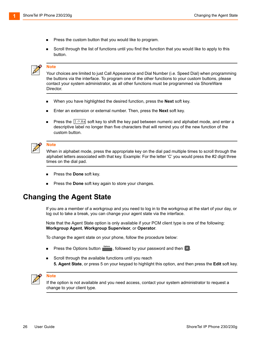- **Press the custom button that you would like to program.**
- Scroll through the list of functions until you find the function that you would like to apply to this button.

#### **Note**

Your choices are limited to just Call Appearance and Dial Number (i.e. Speed Dial) when programming the buttons via the interface. To program one of the other functions to your custom buttons, please contact your system administrator, as all other functions must be programmed via ShoreWare Director.

- When you have highlighted the desired function, press the **Next** soft key.
- Enter an extension or external number. Then, press the **Next** soft key.
- **Press the**  $\left[1\right.^{2}$  A<sub>3</sub> soft key to shift the key pad between numeric and alphabet mode, and enter a descriptive label no longer than five characters that will remind you of the new function of the custom button.

#### **Note**

When in alphabet mode, press the appropriate key on the dial pad multiple times to scroll through the alphabet letters associated with that key. Example: For the letter 'C' you would press the #2 digit three times on the dial pad.

- Press the **Done** soft key.
- Press the **Done** soft key again to store your changes.

### <span id="page-25-0"></span>**Changing the Agent State**

If you are a member of a workgroup and you need to log in to the workgroup at the start of your day, or log out to take a break, you can change your agent state via the interface.

Note that the Agent State option is only available if your PCM client type is one of the following: **Workgroup Agent**, **Workgroup Supervisor**, or **Operator**.

To change the agent state on your phone, follow the procedure below:

- **Press the Options button**  $\frac{opitons}{\cdot}$ **, followed by your password and then**  $\frac{p}{\cdot}$ **.**
- Scroll through the available functions until you reach **5. Agent State**, or press 5 on your keypad to highlight this option, and then press the **Edit** soft key.



#### **Note**

If the option is not available and you need access, contact your system administrator to request a change to your client type.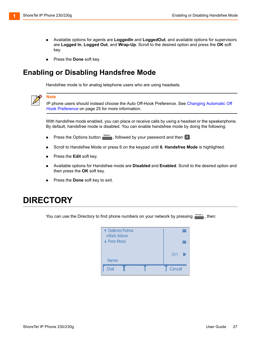- Available options for agents are **LoggedIn** and **LoggedOut**, and available options for supervisors are **Logged In**, **Logged Out**, and **Wrap-Up**. Scroll to the desired option and press the **OK** soft key.
- Press the **Done** soft key.

### <span id="page-26-0"></span>**Enabling or Disabling Handsfree Mode**

Handsfree mode is for analog telephone users who are using headsets.



#### **Note**

IP phone users should instead choose the Auto Off-Hook Preference. See [Changing Automatic Off](#page-24-0)  [Hook Preference on page 25](#page-24-0) for more information.

With handsfree mode enabled, you can place or receive calls by using a headset or the speakerphone. By default, handsfree mode is disabled. You can enable handsfree mode by doing the following:

- **Press the Options button <b>Purions**, followed by your password and then **F**.
- Scroll to Handsfree Mode or press 6 on the keypad until **6. Handsfree Mode** is highlighted.
- **Press the Edit soft key.**
- Available options for Handsfree mode are **Disabled** and **Enabled**. Scroll to the desired option and then press the **OK** soft key.
- Press the **Done** soft key to exit.

## <span id="page-26-1"></span>**DIRECTORY**

You can use the Directory to find phone numbers on your network by pressing **Firetory**, then:

| <b>1</b> Dolores Palma<br>▶ Matt Adoor |               |
|----------------------------------------|---------------|
| $\div$ Pete Moss                       |               |
|                                        | 511           |
| Name:                                  |               |
| <b>Dial</b>                            | <b>Cancel</b> |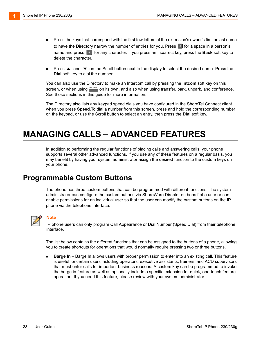- **Press the keys that correspond with the first few letters of the extension's owner's first or last name** to have the Directory narrow the number of entries for you. Press  $\lceil \cdot \rceil$  for a space in a person's name and press  $\ast$  for any character. If you press an incorrect key, press the **Back** soft key to delete the character.
- Press  $\triangle$  and  $\blacktriangledown$  on the Scroll button next to the display to select the desired name. Press the **Dial** soft key to dial the number.

You can also use the Directory to make an Intercom call by pressing the **Intcom** soft key on this screen, or when using **FIGE COM** on its own, and also when using transfer, park, unpark, and conference. See those sections in this guide for more information.

The Directory also lists any keypad speed dials you have configured in the ShoreTel Connect client when you press **Speed**.To dial a number from this screen, press and hold the corresponding number on the keypad, or use the Scroll button to select an entry, then press the **Dial** soft key.

# <span id="page-27-0"></span>**MANAGING CALLS – ADVANCED FEATURES**

In addition to performing the regular functions of placing calls and answering calls, your phone supports several other advanced functions. If you use any of these features on a regular basis, you may benefit by having your system administrator assign the desired function to the custom keys on your phone.

#### <span id="page-27-1"></span>**Programmable Custom Buttons**

The phone has three custom buttons that can be programmed with different functions. The system administrator can configure the custom buttons via ShoreWare Director on behalf of a user or can enable permissions for an individual user so that the user can modify the custom buttons on the IP phone via the telephone interface.



#### **Note**

IP phone users can only program Call Appearance or Dial Number (Speed Dial) from their telephone interface.

The list below contains the different functions that can be assigned to the buttons of a phone, allowing you to create shortcuts for operations that would normally require pressing two or three buttons.

 **Barge In** – Barge In allows users with proper permission to enter into an existing call. This feature is useful for certain users including operators, executive assistants, trainers, and ACD supervisors that must enter calls for important business reasons. A custom key can be programmed to invoke the barge in feature as well as optionally include a specific extension for quick, one-touch feature operation. If you need this feature, please review with your system administrator.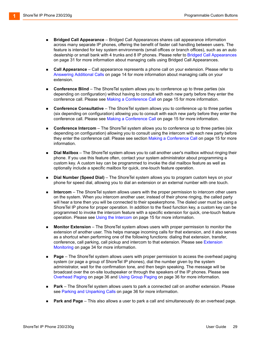- **Bridged Call Appearance** Bridged Call Appearances shares call appearance information across many separate IP phones, offering the benefit of faster call handling between users. The feature is intended for key system environments (small offices or branch offices), such as an auto dealership or small bank with 4 trunks and 8 IP phones. Please refer to [Bridged Call Appearances](#page-30-0) [on page 31](#page-30-0) for more information about managing calls using Bridged Call Appearances.
- **Call Appearance** Call appearance represents a phone call on your extension. Please refer to [Answering Additional Calls on page 14](#page-13-0) for more information about managing calls on your extension.
- **Conference Blind** The ShoreTel system allows you to conference up to three parties (six depending on configuration) without having to consult with each new party before they enter the conference call. Please see [Making a Conference Call on page 15](#page-14-0) for more information.
- **Conference Consultative** The ShoreTel system allows you to conference up to three parties (six depending on configuration) allowing you to consult with each new party before they enter the conference call. Please see [Making a Conference Call on page 15](#page-14-0) for more information.
- **Conference Intercom** The ShoreTel system allows you to conference up to three parties (six depending on configuration) allowing you to consult using the intercom with each new party before they enter the conference call. Please see section [Making a Conference Call on page 15](#page-14-0) for more information.
- **Dial Mailbox** The ShoreTel system allows you to call another user's mailbox without ringing their phone. If you use this feature often, contact your system administrator about programming a custom key. A custom key can be programmed to invoke the dial mailbox feature as well as optionally include a specific mailbox for quick, one-touch feature operation.
- **Dial Number (Speed Dial)** The ShoreTel system allows you to program custom keys on your phone for speed dial, allowing you to dial an extension or an external number with one touch.
- **Intercom** The ShoreTel system allows users with the proper permission to intercom other users on the system. When you intercom another user, instead of their phone ringing, the called party will hear a tone then you will be connected to their speakerphone. The dialed user must be using a ShoreTel IP phone for proper operation. In addition to the fixed function key, a custom key can be programmed to invoke the intercom feature with a specific extension for quick, one-touch feature operation. Please see [Using the Intercom on page 15](#page-14-1) for more information.
- **Monitor Extension** The ShoreTel system allows users with proper permission to monitor the extension of another user. This helps manage incoming calls for that extension, and it also serves as a shortcut when performing one of the following functions: dialing that extension, transfer, conference, call parking, call pickup and intercom to that extension. Please see [Extension](#page-33-0)  [Monitoring on page 34](#page-33-0) for more information.
- **Page** The ShoreTel system allows users with proper permission to access the overhead paging system (or page a group of ShoreTel IP phones), dial the number given by the system administrator, wait for the confirmation tone, and then begin speaking. The message will be broadcast over the on-site loudspeaker or through the speakers of the IP phones. Please see [Overhead Paging on page 36](#page-35-1) and [Using Group Paging on page 36](#page-35-2) for more information.
- **Park** The ShoreTel system allows users to park a connected call on another extension. Please see [Parking and Unparking Calls on page 36](#page-35-3) for more information.
- **Park and Page** This also allows a user to park a call and simultaneously do an overhead page.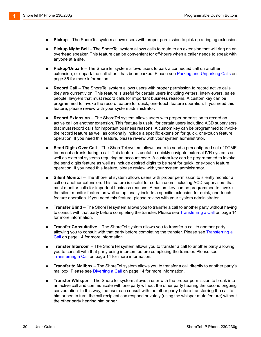- **Pickup**  The ShoreTel system allows users with proper permission to pick up a ringing extension.
- **Pickup Night Bell** The ShoreTel system allows calls to route to an extension that will ring on an overhead speaker. This feature can be convenient for off-hours when a caller needs to speak with anyone at a site.
- **Pickup/Unpark** The ShoreTel system allows users to park a connected call on another extension, or unpark the call after it has been parked. Please see [Parking and Unparking Calls on](#page-35-3)  [page 36](#page-35-3) for more information.
- **Record Call** The ShoreTel system allows users with proper permission to record active calls they are currently on. This feature is useful for certain users including writers, interviewers, sales people, lawyers that must record calls for important business reasons. A custom key can be programmed to invoke the record feature for quick, one-touch feature operation. If you need this feature, please review with your system administrator.
- **Record Extension** The ShoreTel system allows users with proper permission to record an active call on another extension. This feature is useful for certain users including ACD supervisors that must record calls for important business reasons. A custom key can be programmed to invoke the record feature as well as optionally include a specific extension for quick, one-touch feature operation. If you need this feature, please review with your system administrator.
- **Send Digits Over Call** The ShoreTel system allows users to send a preconfigured set of DTMF tones out a trunk during a call. This feature is useful to quickly navigate external IVR systems as well as external systems requiring an account code. A custom key can be programmed to invoke the send digits feature as well as include desired digits to be sent for quick, one-touch feature operation. If you need this feature, please review with your system administrator.
- **Silent Monitor** The ShoreTel system allows users with proper permission to silently monitor a call on another extension. This feature is useful for certain users including ACD supervisors that must monitor calls for important business reasons. A custom key can be programmed to invoke the silent monitor feature as well as optionally include a specific extension for quick, one-touch feature operation. If you need this feature, please review with your system administrator.
- **Transfer Blind** The ShoreTel system allows you to transfer a call to another party without having to consult with that party before completing the transfer. Please see [Transferring a Call on page 14](#page-13-1)  for more information.
- **Transfer Consultative** The ShoreTel system allows you to transfer a call to another party allowing you to consult with that party before completing the transfer. Please see Transferring a [Call on page 14](#page-13-1) for more information.
- **Transfer Intercom** The ShoreTel system allows you to transfer a call to another party allowing you to consult with that party using intercom before completing the transfer. Please see [Transferring a Call on page 14](#page-13-1) for more information.
- **Transfer to Mailbox** The ShoreTel system allows you to transfer a call directly to another party's mailbox. Please see [Diverting a Call on page 14](#page-13-2) for more information.
- **Transfer Whisper** The ShoreTel system allows a user with the proper permission to break into an active call and communicate with one party without the other party hearing the second ongoing conversation. In this way, the user can consult with the other party before transferring the call to him or her. In turn, the call recipient can respond privately (using the whisper mute feature) without the other party hearing him or her.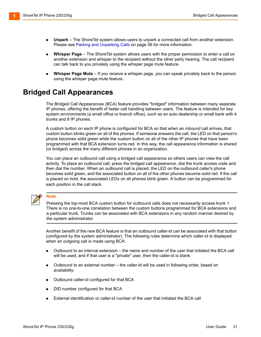- **Unpark**  The ShoreTel system allows users to unpark a connected call from another extension. Please see [Parking and Unparking Calls on page 36](#page-35-3) for more information.
- **Whisper Page** The ShoreTel system allows users with the proper permission to enter a call on another extension and whisper to the recipient without the other party hearing. The call recipient can talk back to you privately using the whisper page mute feature.
- **Whisper Page Mute** If you receive a whisper page, you can speak privately back to the person using the whisper page mute feature.

### <span id="page-30-0"></span>**Bridged Call Appearances**

The Bridged Call Appearances (BCA) feature provides "bridged" information between many separate IP phones, offering the benefit of faster call handling between users. The feature is intended for key system environments (a small office or branch office), such as an auto dealership or small bank with 4 trunks and 8 IP phones.

A custom button on each IP phone is configured for BCA so that when an *inbound* call arrives, that custom button blinks green on all of the phones. If someone answers the call, the LED on that person's phone becomes solid green while the custom button on all of the other IP phones that have been programmed with that BCA extension turns red. In this way, the call appearance information is shared (or bridged) across the many different phones in an organization.

You can place an outbound call using a bridged call appearance so others users can view the call activity. To place an outbound call, press the bridged call appearance, dial the trunk access code and then dial the number. When an outbound call is placed, the LED on the outbound caller's phone becomes solid green, and the associated button on all of the other phones become solid red. If the call is placed on hold, the associated LEDs on all phones blink green. A button can be programmed for each position in the call stack.

#### **Note**

Pressing the top-most BCA custom button for outbound calls does not necessarily access trunk 1. There is no one-to-one correlation between the custom buttons programmed for BCA extensions and a particular trunk. Trunks can be associated with BCA extensions in any random manner desired by the system administrator.

Another benefit of the new BCA feature is that an outbound caller-id can be associated with that button (configured by the system administrator). The following rules determine which caller-id is displayed when an outgoing call is made using BCA:

- Outbound to an internal extension the name and number of the user that initiated the BCA call will be used, and if that user is a "private" user, then the caller-id is blank.
- Outbound to an external number the caller-id will be used in following order, based on availability:
- **Dutbound caller-id configured for that BCA**
- DID number configured for that BCA
- External identification or caller-id number of the user that initiated the BCA call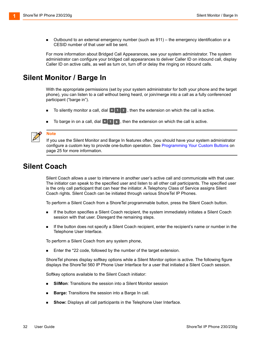Outbound to an external emergency number (such as 911) – the emergency identification or a CESID number of that user will be sent.

For more information about Bridged Call Appearances, see your system administrator. The system administrator can configure your bridged call appearances to deliver Caller ID on inbound call, display Caller ID on active calls, as well as turn on, turn off or delay the ringing on inbound calls.

#### <span id="page-31-0"></span>**Silent Monitor / Barge In**

With the appropriate permissions (set by your system administrator for both your phone and the target phone), you can listen to a call without being heard, or join/merge into a call as a fully conferenced participant ("barge in").

- **To silently monitor a call, dial**  $\lfloor \frac{*}{2} \rfloor$  **1**, then the extension on which the call is active.
- To barge in on a call, dial  $\mathbb{F}[1]$   $\epsilon$ , then the extension on which the call is active.



#### **Note**

If you use the Silent Monitor and Barge In features often, you should have your system administrator configure a custom key to provide one-button operation. See [Programming Your Custom Buttons on](#page-24-2)  [page 25](#page-24-2) for more information.

### <span id="page-31-1"></span>**Silent Coach**

Silent Coach allows a user to intervene in another user's active call and communicate with that user. The initiator can speak to the specified user and listen to all other call participants. The specified user is the only call participant that can hear the initiator. A Telephony Class of Service assigns Silent Coach rights. Silent Coach can be initiated through various ShoreTel IP Phones.

To perform a Silent Coach from a ShoreTel programmable button, press the Silent Coach button.

- If the button specifies a Silent Coach recipient, the system immediately initiates a Silent Coach session with that user. Disregard the remaining steps.
- If the button does not specify a Silent Coach recipient, enter the recipient's name or number in the Telephone User Interface.

To perform a Silent Coach from any system phone,

Enter the \*22 code, followed by the number of the target extension.

ShoreTel phones display softkey options while a Silent Monitor option is active. The following figure displays the ShoreTel 560 IP Phone User Interface for a user that initiated a Silent Coach session.

Softkey options available to the Silent Coach initiator:

- **SilMon:** Transitions the session into a Silent Monitor session
- **Barge:** Transitions the session into a Barge In call.
- **Show:** Displays all call participants in the Telephone User Interface.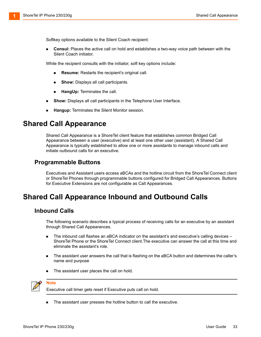Softkey options available to the Silent Coach recipient:

 **Consul:** Places the active call on hold and establishes a two-way voice path between with the Silent Coach initiator.

While the recipient consults with the initiator, soft key options include:

- **Resume:** Restarts the recipient's original call.
- **Show:** Displays all call participants.
- **HangUp:** Terminates the call.
- **Show:** Displays all call participants in the Telephone User Interface.
- **Hangup:** Terminates the Silent Monitor session.

#### <span id="page-32-0"></span>**Shared Call Appearance**

Shared Call Appearance is a ShoreTel client feature that establishes common Bridged Call Appearance between a user (executive) and at least one other user (assistant). A Shared Call Appearance is typically established to allow one or more assistants to manage inbound calls and initiate outbound calls for an executive.

#### **Programmable Buttons**

Executives and Assistant users access aBCAs and the hotline circuit from the ShoreTel Connect client or ShoreTel Phones through programmable buttons configured for Bridged Call Appearances. Buttons for Executive Extensions are not configurable as Call Appearances.

### <span id="page-32-1"></span>**Shared Call Appearance Inbound and Outbound Calls**

#### **Inbound Calls**

The following scenario describes a typical process of receiving calls for an executive by an assistant through Shared Call Appearances.

- The inbound call flashes an aBCA indicator on the assistant's and executive's calling devices ShoreTel Phone or the ShoreTel Connect client.The executive can answer the call at this time and eliminate the assistant's role.
- The assistant user answers the call that is flashing on the aBCA button and determines the caller's name and purpose
- The assistant user places the call on hold.



#### **Note**

Executive call timer gets reset if Executive puts call on hold.

The assistant user presses the hotline button to call the executive.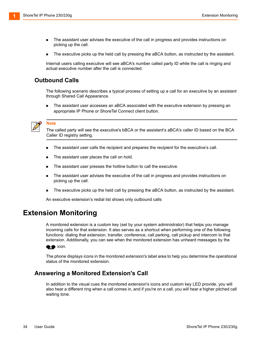- **The assistant user advises the executive of the call in progress and provides instructions on** picking up the call.
- The executive picks up the held call by pressing the aBCA button, as instructed by the assistant.

Internal users calling executive will see aBCA's number called party ID while the call is ringing and actual executive number after the call is connected.

#### **Outbound Calls**

The following scenario describes a typical process of setting up a call for an executive by an assistant through Shared Call Appearance.

 The assistant user accesses an aBCA associated with the executive extension by pressing an appropriate IP Phone or ShoreTel Connect client button.



#### **Note**

The called party will see the executive's bBCA or the assistant's aBCA's caller ID based on the BCA Caller ID registry setting.

- The assistant user calls the recipient and prepares the recipient for the executive's call.
- The assistant user places the call on hold.
- The assistant user presses the hotline button to call the executive.
- **The assistant user advises the executive of the call in progress and provides instructions on** picking up the call.
- The executive picks up the held call by pressing the aBCA button, as instructed by the assistant.

An executive extension's redial list shows only outbound calls

#### <span id="page-33-0"></span>**Extension Monitoring**

A monitored extension is a custom key (set by your system administrator) that helps you manage incoming calls for that extension. It also serves as a shortcut when performing one of the following functions: dialing that extension, transfer, conference, call parking, call pickup and intercom to that extension. Additionally, you can see when the monitored extension has unheard messages by the

**icon.** 

The phone displays icons in the monitored extension's label area to help you determine the operational status of the monitored extension.

#### **Answering a Monitored Extension's Call**

In addition to the visual cues the monitored extension's icons and custom key LED provide, you will also hear a different ring when a call comes in, and if you're on a call, you will hear a higher pitched call waiting tone.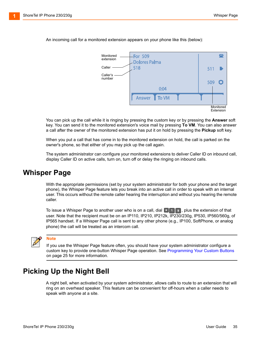

An incoming call for a monitored extension appears on your phone like this (below):

You can pick up the call while it is ringing by pressing the custom key or by pressing the **Answer** soft key. You can send it to the monitored extension's voice mail by pressing **To VM**. You can also answer a call after the owner of the monitored extension has put it on hold by pressing the **Pickup** soft key.

When you put a call that has come in to the monitored extension on hold, the call is parked on the owner's phone, so that either of you may pick up the call again.

The system administrator can configure your monitored extensions to deliver Caller ID on inbound call, display Caller ID on active calls, turn on, turn off or delay the ringing on inbound calls.

#### <span id="page-34-0"></span>**Whisper Page**

With the appropriate permissions (set by your system administrator for both your phone and the target phone), the Whisper Page feature lets you break into an active call in order to speak with an internal user. This occurs without the remote caller hearing the interruption and without you hearing the remote caller.

To issue a Whisper Page to another user who is on a call, dial  $\|\cdot\|$  . plus the extension of that user. Note that the recipient must be on an IP110, IP210, IP212k, IP230/230g, IP530, IP560/560g, of IP565 handset. If a Whisper Page call is sent to any other phone (e.g., IP100, SoftPhone, or analog phone) the call will be treated as an intercom call.

**Note**

If you use the Whisper Page feature often, you should have your system administrator configure a custom key to provide one-button Whisper Page operation. See [Programming Your Custom Buttons](#page-24-2) [on page 25](#page-24-2) for more information.

### <span id="page-34-1"></span>**Picking Up the Night Bell**

A night bell, when activated by your system administrator, allows calls to route to an extension that will ring on an overhead speaker. This feature can be convenient for off-hours when a caller needs to speak with anyone at a site.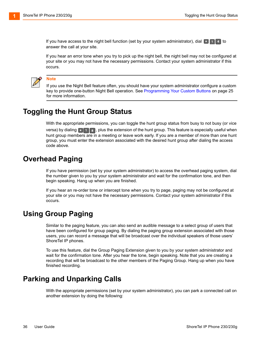If you have access to the night bell function (set by your system administrator), dial  $\lceil \cdot \rceil$  [1] 4] to answer the call at your site.

If you hear an error tone when you try to pick up the night bell, the night bell may not be configured at your site or you may not have the necessary permissions. Contact your system administrator if this occurs.



#### **Note**

If you use the Night Bell feature often, you should have your system administrator configure a custom key to provide one-button Night Bell operation. See [Programming Your Custom Buttons on page 25](#page-24-2) for more information.

### <span id="page-35-0"></span>**Toggling the Hunt Group Status**

With the appropriate permissions, you can toggle the hunt group status from busy to not busy (or vice versa) by dialing  $|\cdot|_1 \cdot |\cdot|_2$ , plus the extension of the hunt group. This feature is especially useful when hunt group members are in a meeting or leave work early. If you are a member of more than one hunt group, you must enter the extension associated with the desired hunt group after dialing the access code above.

### <span id="page-35-1"></span>**Overhead Paging**

If you have permission (set by your system administrator) to access the overhead paging system, dial the number given to you by your system administrator and wait for the confirmation tone, and then begin speaking. Hang up when you are finished.

If you hear an re-order tone or intercept tone when you try to page, paging may not be configured at your site or you may not have the necessary permissions. Contact your system administrator if this occurs.

### <span id="page-35-2"></span>**Using Group Paging**

Similar to the paging feature, you can also send an audible message to a select group of users that have been configured for group paging. By dialing the paging group extension associated with those users, you can record a message that will be broadcast over the individual speakers of those users' ShoreTel IP phones.

To use this feature, dial the Group Paging Extension given to you by your system administrator and wait for the confirmation tone. After you hear the tone, begin speaking. Note that you are creating a recording that will be broadcast to the other members of the Paging Group. Hang up when you have finished recording.

### <span id="page-35-3"></span>**Parking and Unparking Calls**

With the appropriate permissions (set by your system administrator), you can park a connected call on another extension by doing the following: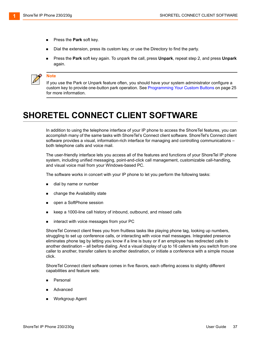- **Press the Park soft key.**
- Dial the extension, press its custom key, or use the Directory to find the party.
- Press the **Park** soft key again. To unpark the call, press **Unpark**, repeat step 2, and press **Unpark** again.



#### **Note**

If you use the Park or Unpark feature often, you should have your system administrator configure a custom key to provide one-button park operation. See [Programming Your Custom Buttons on page 25](#page-24-2)  for more information.

# <span id="page-36-0"></span>**SHORETEL CONNECT CLIENT SOFTWARE**

In addition to using the telephone interface of your IP phone to access the ShoreTel features, you can accomplish many of the same tasks with ShoreTel's Connect client software. ShoreTel's Connect client software provides a visual, information-rich interface for managing and controlling communications – both telephone calls and voice mail.

The user-friendly interface lets you access all of the features and functions of your ShoreTel IP phone system, including unified messaging, point-and-click call management, customizable call-handling, and visual voice mail from your Windows-based PC.

The software works in concert with your IP phone to let you perform the following tasks:

- dial by name or number
- change the Availability state
- **n** open a SoftPhone session
- keep a 1000-line call history of inbound, outbound, and missed calls
- interact with voice messages from your PC

ShoreTel Connect client frees you from fruitless tasks like playing phone tag, looking up numbers, struggling to set up conference calls, or interacting with voice mail messages. Integrated presence eliminates phone tag by letting you know if a line is busy or if an employee has redirected calls to another destination – all before dialing. And a visual display of up to 16 callers lets you switch from one caller to another, transfer callers to another destination, or initiate a conference with a simple mouse click.

ShoreTel Connect client software comes in five flavors, each offering access to slightly different capabilities and feature sets:

- Personal
- Advanced
- Workgroup Agent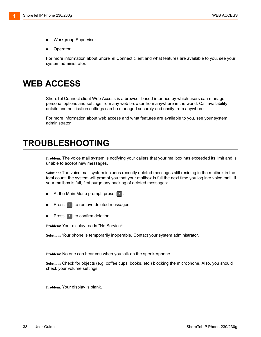- Workgroup Supervisor
- Operator

For more information about ShoreTel Connect client and what features are available to you, see your system administrator.

# <span id="page-37-0"></span>**WEB ACCESS**

ShoreTel Connect client Web Access is a browser-based interface by which users can manage personal options and settings from any web browser from anywhere in the world. Call availability details and notification settings can be managed securely and easily from anywhere.

For more information about web access and what features are available to you, see your system administrator.

## <span id="page-37-1"></span>**TROUBLESHOOTING**

**Problem:** The voice mail system is notifying your callers that your mailbox has exceeded its limit and is unable to accept new messages.

**Solution:** The voice mail system includes recently deleted messages still residing in the mailbox in the total count; the system will prompt you that your mailbox is full the next time you log into voice mail. If your mailbox is full, first purge any backlog of deleted messages:

- At the Main Menu prompt, press  $\boxed{7}$ .
- Press  $\boxed{\phantom{s}}$  to remove deleted messages.
- Press  $\begin{bmatrix} 1 \end{bmatrix}$  to confirm deletion.

**Problem:** Your display reads "No Service**"**

**Solution:** Your phone is temporarily inoperable. Contact your system administrator.

**Problem:** No one can hear you when you talk on the speakerphone.

**Solution:** Check for objects (e.g. coffee cups, books, etc.) blocking the microphone. Also, you should check your volume settings.

**Problem:** Your display is blank.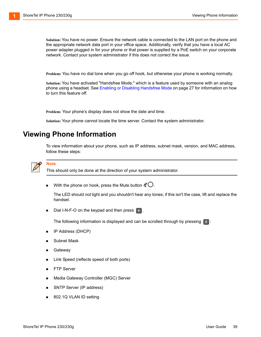**Solution:** You have no power. Ensure the network cable is connected to the LAN port on the phone and the appropriate network data port in your office space. Additionally, verify that you have a local AC power adapter plugged in for your phone or that power is supplied by a PoE switch on your corporate network. Contact your system administrator if this does not correct the issue.

**Problem:** You have no dial tone when you go off hook, but otherwise your phone is working normally.

**Solution:** You have activated "Handsfree Mode," which is a feature used by someone with an analog phone using a headset. See [Enabling or Disabling Handsfree Mode on page 27](#page-26-0) for information on how to turn this feature off.

**Problem:** Your phone's display does not show the date and time.

**Solution:** Your phone cannot locate the time server. Contact the system administrator.

#### <span id="page-38-0"></span>**Viewing Phone Information**

To view information about your phone, such as IP address, subnet mask, version, and MAC address, follow these steps:



#### **Note**

This should only be done at the direction of your system administrator.

 $\blacksquare$  With the phone on hook, press the Mute button  $\mathscr{\mathscr{Q}}\mathrm{\mathsf{C}}$ .

The LED should *not* light and you shouldn't hear any tones; if this isn't the case, lift and replace the handset.

**Dial I-N-F-O on the keypad and then press**  $\left| \cdot \right|$ .

The following information is displayed and can be scrolled through by pressing  $\lceil \frac{m}{2} \rceil$ :

- **IF Address (DHCP)**
- Subnet Mask
- **B** Gateway
- **EXECT:** Link Speed (reflects speed of both ports)
- **FTP** Server
- Media Gateway Controller (MGC) Server
- SNTP Server (IP address)
- 802.1Q VLAN ID setting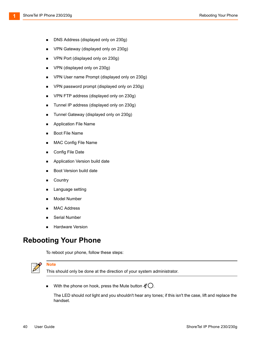- **DNS Address (displayed only on 230g)**
- VPN Gateway (displayed only on 230g)
- VPN Port (displayed only on 230g)
- VPN (displayed only on 230g)
- **VPN User name Prompt (displayed only on 230g)**
- VPN password prompt (displayed only on 230g)
- **VPN FTP address (displayed only on 230g)**
- **Tunnel IP address (displayed only on 230g)**
- **Tunnel Gateway (displayed only on 230g)**
- **Application File Name**
- **Boot File Name**
- **MAC Config File Name**
- Config File Date
- **Application Version build date**
- Boot Version build date
- **Country**
- **EXE** Language setting
- **Model Number**
- **MAC Address**
- Serial Number
- **Hardware Version**

### <span id="page-39-0"></span>**Rebooting Your Phone**

To reboot your phone, follow these steps:



#### **Note**

This should only be done at the direction of your system administrator.

 $\blacksquare$  With the phone on hook, press the Mute button  $\mathscr{Q}\bigcirc$ .

The LED should *not* light and you shouldn't hear any tones; if this isn't the case, lift and replace the handset.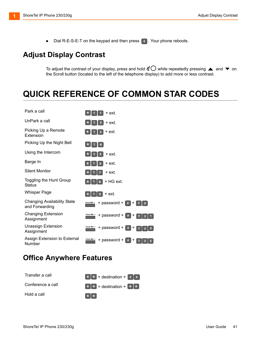$\blacksquare$  Dial R-E-S-E-T on the keypad and then press  $\lceil$  #  $\rceil$ . Your phone reboots.

### <span id="page-40-0"></span>**Adjust Display Contrast**

To adjust the contrast of your display, press and hold  $\mathscr{A}\bigcirc$  while repeatedly pressing  $\blacktriangle$  and  $\blacktriangledown$  on the Scroll button (located to the left of the telephone display) to add more or less contrast.

# <span id="page-40-1"></span>**QUICK REFERENCE OF COMMON STAR CODES**

| Park a call                                          | $\ast$<br>+ ext.                                             |
|------------------------------------------------------|--------------------------------------------------------------|
| UnPark a call                                        | $\overline{\mathbf{z}}$<br>$\ast$<br>+ ext.                  |
| Picking Up a Remote<br>Extension                     | + ext.<br>$\ast$<br>3                                        |
| Picking Up the Night Bell                            | $\ast$<br>4                                                  |
| Using the Intercom                                   | + ext.<br>5                                                  |
| Barge In                                             | + ext.<br>G                                                  |
| <b>Silent Monitor</b>                                | + ext.                                                       |
| Toggling the Hunt Group<br>Status                    | + HG ext.<br>8<br>$\ast$                                     |
| <b>Whisper Page</b>                                  | + ext.<br>g                                                  |
| <b>Changing Availability State</b><br>and Forwarding | + password +<br>Voice Mai I<br>$\#$<br>l +<br>$\overline{2}$ |
| <b>Changing Extension</b><br>Assignment              | Voice Mai I<br>+ password +<br>#<br>$\mathbf +$              |
| <b>Unassign Extension</b><br>Assignment              | Voice Mai I<br>+ password +<br>#<br>+                        |
| Assign Extension to External<br>Number               | Voice Mai I<br>+ password +                                  |

### <span id="page-40-2"></span>**Office Anywhere Features**

| Transfer a call   | $\lfloor * \rfloor *$ + destination + $\lfloor * \rfloor *$                                     |
|-------------------|-------------------------------------------------------------------------------------------------|
| Conference a call | $\begin{bmatrix} * & * & * \end{bmatrix}$ + destination + $\begin{bmatrix} * & * \end{bmatrix}$ |
| Hold a call       | $*$   $*$                                                                                       |